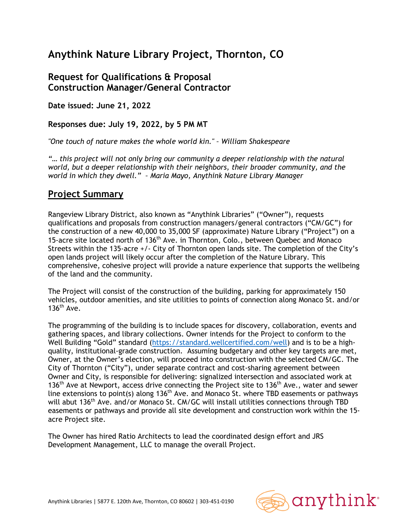# **Anythink Nature Library Project, Thornton, CO**

## **Request for Qualifications & Proposal Construction Manager/General Contractor**

**Date issued: June 21, 2022** 

**Responses due: July 19, 2022, by 5 PM MT** 

*"One touch of nature makes the whole world kin." – William Shakespeare* 

*"… this project will not only bring our community a deeper relationship with the natural world, but a deeper relationship with their neighbors, their broader community, and the world in which they dwell." – Maria Mayo, Anythink Nature Library Manager*

## **Project Summary**

Rangeview Library District, also known as "Anythink Libraries" ("Owner"), requests qualifications and proposals from construction managers/general contractors ("CM/GC") for the construction of a new 40,000 to 35,000 SF (approximate) Nature Library ("Project") on a 15-acre site located north of 136<sup>th</sup> Ave. in Thornton, Colo., between Quebec and Monaco Streets within the 135-acre +/- City of Thornton open lands site. The completion of the City's open lands project will likely occur after the completion of the Nature Library. This comprehensive, cohesive project will provide a nature experience that supports the wellbeing of the land and the community.

The Project will consist of the construction of the building, parking for approximately 150 vehicles, outdoor amenities, and site utilities to points of connection along Monaco St. and/or  $136<sup>th</sup>$  Ave.

The programming of the building is to include spaces for discovery, collaboration, events and gathering spaces, and library collections. Owner intends for the Project to conform to the Well Building "Gold" standard (https://standard.wellcertified.com/well) and is to be a highquality, institutional-grade construction. Assuming budgetary and other key targets are met, Owner, at the Owner's election, will proceed into construction with the selected CM/GC. The City of Thornton ("City"), under separate contract and cost-sharing agreement between Owner and City, is responsible for delivering: signalized intersection and associated work at 136<sup>th</sup> Ave at Newport, access drive connecting the Project site to 136<sup>th</sup> Ave., water and sewer line extensions to point(s) along 136<sup>th</sup> Ave. and Monaco St. where TBD easements or pathways will abut 136<sup>th</sup> Ave. and/or Monaco St. CM/GC will install utilities connections through TBD easements or pathways and provide all site development and construction work within the 15 acre Project site.

The Owner has hired Ratio Architects to lead the coordinated design effort and JRS Development Management, LLC to manage the overall Project.

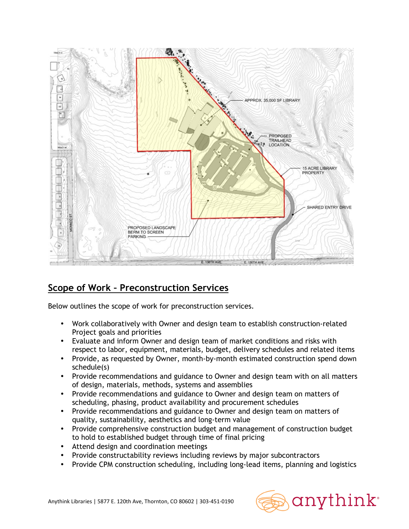

# **Scope of Work – Preconstruction Services**

Below outlines the scope of work for preconstruction services.

- Work collaboratively with Owner and design team to establish construction-related Project goals and priorities
- Evaluate and inform Owner and design team of market conditions and risks with respect to labor, equipment, materials, budget, delivery schedules and related items
- Provide, as requested by Owner, month-by-month estimated construction spend down schedule(s)
- Provide recommendations and guidance to Owner and design team with on all matters of design, materials, methods, systems and assemblies
- Provide recommendations and guidance to Owner and design team on matters of scheduling, phasing, product availability and procurement schedules
- Provide recommendations and guidance to Owner and design team on matters of quality, sustainability, aesthetics and long-term value
- Provide comprehensive construction budget and management of construction budget to hold to established budget through time of final pricing
- Attend design and coordination meetings
- Provide constructability reviews including reviews by major subcontractors
- Provide CPM construction scheduling, including long-lead items, planning and logistics



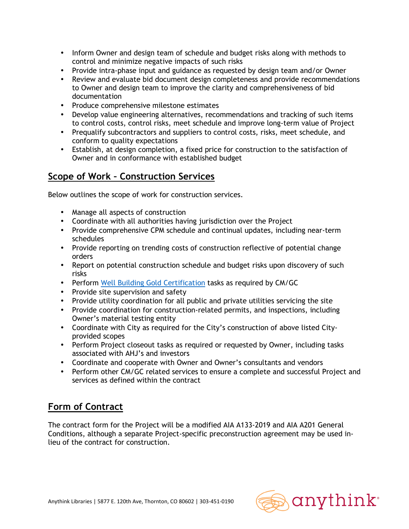- Inform Owner and design team of schedule and budget risks along with methods to control and minimize negative impacts of such risks
- Provide intra-phase input and guidance as requested by design team and/or Owner
- Review and evaluate bid document design completeness and provide recommendations to Owner and design team to improve the clarity and comprehensiveness of bid documentation
- Produce comprehensive milestone estimates
- Develop value engineering alternatives, recommendations and tracking of such items to control costs, control risks, meet schedule and improve long-term value of Project
- Prequalify subcontractors and suppliers to control costs, risks, meet schedule, and conform to quality expectations
- Establish, at design completion, a fixed price for construction to the satisfaction of Owner and in conformance with established budget

## **Scope of Work – Construction Services**

Below outlines the scope of work for construction services.

- Manage all aspects of construction
- Coordinate with all authorities having jurisdiction over the Project
- Provide comprehensive CPM schedule and continual updates, including near-term schedules
- Provide reporting on trending costs of construction reflective of potential change orders
- Report on potential construction schedule and budget risks upon discovery of such risks
- Perform Well Building Gold Certification tasks as required by CM/GC
- Provide site supervision and safety
- Provide utility coordination for all public and private utilities servicing the site
- Provide coordination for construction-related permits, and inspections, including Owner's material testing entity
- Coordinate with City as required for the City's construction of above listed Cityprovided scopes
- Perform Project closeout tasks as required or requested by Owner, including tasks associated with AHJ's and investors
- Coordinate and cooperate with Owner and Owner's consultants and vendors
- Perform other CM/GC related services to ensure a complete and successful Project and services as defined within the contract

## **Form of Contract**

The contract form for the Project will be a modified AIA A133-2019 and AIA A201 General Conditions, although a separate Project-specific preconstruction agreement may be used inlieu of the contract for construction.

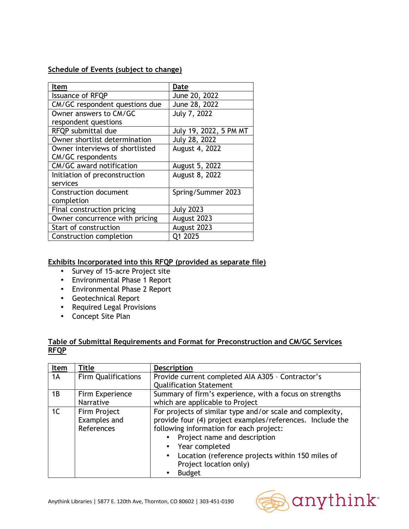#### **Schedule of Events (subject to change)**

| Item                            | Date                   |
|---------------------------------|------------------------|
| <b>Issuance of RFQP</b>         | June 20, 2022          |
| CM/GC respondent questions due  | June 28, 2022          |
| Owner answers to CM/GC          | July 7, 2022           |
| respondent questions            |                        |
| RFQP submittal due              | July 19, 2022, 5 PM MT |
| Owner shortlist determination   | July 28, 2022          |
| Owner interviews of shortlisted | August 4, 2022         |
| <b>CM/GC</b> respondents        |                        |
| CM/GC award notification        | August 5, 2022         |
| Initiation of preconstruction   | August 8, 2022         |
| services                        |                        |
| <b>Construction document</b>    | Spring/Summer 2023     |
| completion                      |                        |
| Final construction pricing      | <b>July 2023</b>       |
| Owner concurrence with pricing  | August 2023            |
| Start of construction           | August 2023            |
| Construction completion         | Q1 2025                |

#### **Exhibits Incorporated into this RFQP (provided as separate file)**

- Survey of 15-acre Project site
- Environmental Phase 1 Report
- Environmental Phase 2 Report
- Geotechnical Report
- Required Legal Provisions
- Concept Site Plan

#### **Table of Submittal Requirements and Format for Preconstruction and CM/GC Services RFQP**

| Item           | <b>Title</b>                               | <b>Description</b>                                                                                                                                                                                                               |  |
|----------------|--------------------------------------------|----------------------------------------------------------------------------------------------------------------------------------------------------------------------------------------------------------------------------------|--|
| 1A             | <b>Firm Qualifications</b>                 | Provide current completed AIA A305 - Contractor's                                                                                                                                                                                |  |
|                |                                            | <b>Qualification Statement</b>                                                                                                                                                                                                   |  |
| 1B             | Firm Experience                            | Summary of firm's experience, with a focus on strengths                                                                                                                                                                          |  |
|                | Narrative                                  | which are applicable to Project                                                                                                                                                                                                  |  |
| 1 <sup>C</sup> | Firm Project<br>Examples and<br>References | For projects of similar type and/or scale and complexity,<br>provide four (4) project examples/references. Include the<br>following information for each project:<br>Project name and description<br>Year completed<br>$\bullet$ |  |
|                |                                            | Location (reference projects within 150 miles of<br>$\bullet$<br>Project location only)<br><b>Budget</b><br>$\bullet$                                                                                                            |  |



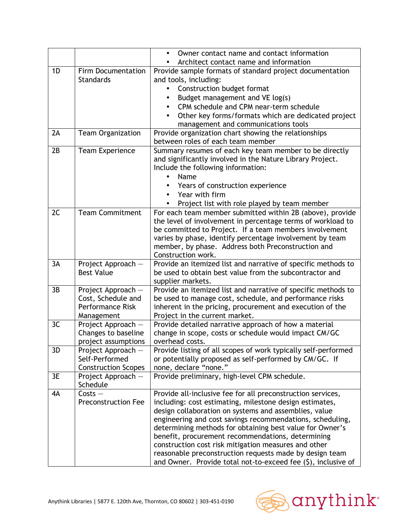|                            | Owner contact name and contact information                                                                                                                                                                                                                                                                                                                                                                     |  |
|----------------------------|----------------------------------------------------------------------------------------------------------------------------------------------------------------------------------------------------------------------------------------------------------------------------------------------------------------------------------------------------------------------------------------------------------------|--|
|                            | Architect contact name and information                                                                                                                                                                                                                                                                                                                                                                         |  |
|                            | Provide sample formats of standard project documentation                                                                                                                                                                                                                                                                                                                                                       |  |
|                            | and tools, including:                                                                                                                                                                                                                                                                                                                                                                                          |  |
|                            | Construction budget format                                                                                                                                                                                                                                                                                                                                                                                     |  |
|                            | Budget management and VE log(s)                                                                                                                                                                                                                                                                                                                                                                                |  |
|                            | CPM schedule and CPM near-term schedule                                                                                                                                                                                                                                                                                                                                                                        |  |
|                            | Other key forms/formats which are dedicated project                                                                                                                                                                                                                                                                                                                                                            |  |
|                            | management and communications tools                                                                                                                                                                                                                                                                                                                                                                            |  |
|                            | Provide organization chart showing the relationships                                                                                                                                                                                                                                                                                                                                                           |  |
|                            | between roles of each team member<br>Summary resumes of each key team member to be directly                                                                                                                                                                                                                                                                                                                    |  |
|                            | and significantly involved in the Nature Library Project.                                                                                                                                                                                                                                                                                                                                                      |  |
|                            | Include the following information:                                                                                                                                                                                                                                                                                                                                                                             |  |
|                            | Name                                                                                                                                                                                                                                                                                                                                                                                                           |  |
|                            | Years of construction experience                                                                                                                                                                                                                                                                                                                                                                               |  |
|                            | Year with firm                                                                                                                                                                                                                                                                                                                                                                                                 |  |
|                            | Project list with role played by team member                                                                                                                                                                                                                                                                                                                                                                   |  |
|                            | For each team member submitted within 2B (above), provide                                                                                                                                                                                                                                                                                                                                                      |  |
|                            | the level of involvement in percentage terms of workload to                                                                                                                                                                                                                                                                                                                                                    |  |
|                            | be committed to Project. If a team members involvement                                                                                                                                                                                                                                                                                                                                                         |  |
|                            | varies by phase, identify percentage involvement by team                                                                                                                                                                                                                                                                                                                                                       |  |
|                            | member, by phase. Address both Preconstruction and                                                                                                                                                                                                                                                                                                                                                             |  |
|                            | Construction work.                                                                                                                                                                                                                                                                                                                                                                                             |  |
|                            | Provide an itemized list and narrative of specific methods to                                                                                                                                                                                                                                                                                                                                                  |  |
|                            | be used to obtain best value from the subcontractor and                                                                                                                                                                                                                                                                                                                                                        |  |
|                            | supplier markets.                                                                                                                                                                                                                                                                                                                                                                                              |  |
|                            | Provide an itemized list and narrative of specific methods to                                                                                                                                                                                                                                                                                                                                                  |  |
|                            | be used to manage cost, schedule, and performance risks<br>inherent in the pricing, procurement and execution of the                                                                                                                                                                                                                                                                                           |  |
|                            | Project in the current market.                                                                                                                                                                                                                                                                                                                                                                                 |  |
|                            | Provide detailed narrative approach of how a material                                                                                                                                                                                                                                                                                                                                                          |  |
|                            | change in scope, costs or schedule would impact CM/GC                                                                                                                                                                                                                                                                                                                                                          |  |
|                            | overhead costs.                                                                                                                                                                                                                                                                                                                                                                                                |  |
|                            | Provide listing of all scopes of work typically self-performed                                                                                                                                                                                                                                                                                                                                                 |  |
| Self-Performed             | or potentially proposed as self-performed by CM/GC. If                                                                                                                                                                                                                                                                                                                                                         |  |
| <b>Construction Scopes</b> | none, declare "none."                                                                                                                                                                                                                                                                                                                                                                                          |  |
| Project Approach -         | Provide preliminary, high-level CPM schedule.                                                                                                                                                                                                                                                                                                                                                                  |  |
|                            |                                                                                                                                                                                                                                                                                                                                                                                                                |  |
|                            | Provide all-inclusive fee for all preconstruction services,                                                                                                                                                                                                                                                                                                                                                    |  |
|                            | including: cost estimating, milestone design estimates,                                                                                                                                                                                                                                                                                                                                                        |  |
|                            | design collaboration on systems and assemblies, value                                                                                                                                                                                                                                                                                                                                                          |  |
|                            | engineering and cost savings recommendations, scheduling,                                                                                                                                                                                                                                                                                                                                                      |  |
|                            | determining methods for obtaining best value for Owner's<br>benefit, procurement recommendations, determining                                                                                                                                                                                                                                                                                                  |  |
|                            |                                                                                                                                                                                                                                                                                                                                                                                                                |  |
|                            |                                                                                                                                                                                                                                                                                                                                                                                                                |  |
|                            | construction cost risk mitigation measures and other<br>reasonable preconstruction requests made by design team                                                                                                                                                                                                                                                                                                |  |
|                            | <b>Firm Documentation</b><br><b>Standards</b><br><b>Team Organization</b><br><b>Team Experience</b><br><b>Team Commitment</b><br>Project Approach -<br><b>Best Value</b><br>Project Approach -<br>Cost, Schedule and<br><b>Performance Risk</b><br>Management<br>Project Approach -<br>Changes to baseline<br>project assumptions<br>Project Approach -<br>Schedule<br>$Costs -$<br><b>Preconstruction Fee</b> |  |

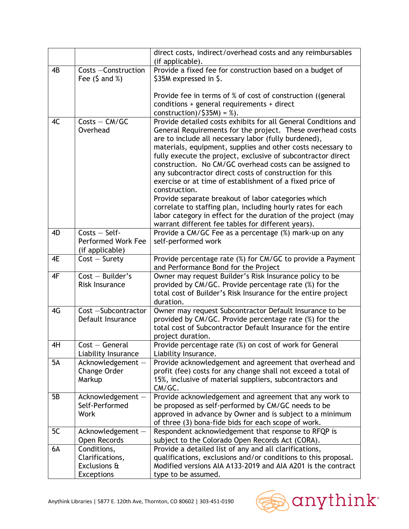|           |                                                                     | direct costs, indirect/overhead costs and any reimbursables<br>(if applicable).                                                                                                                                                                                                                                                                                                                                                                                                                                                                                                                                                                                                                                                                                      |  |
|-----------|---------------------------------------------------------------------|----------------------------------------------------------------------------------------------------------------------------------------------------------------------------------------------------------------------------------------------------------------------------------------------------------------------------------------------------------------------------------------------------------------------------------------------------------------------------------------------------------------------------------------------------------------------------------------------------------------------------------------------------------------------------------------------------------------------------------------------------------------------|--|
| 4B        | Costs - Construction<br>Fee $(5 \text{ and } % )$                   | Provide a fixed fee for construction based on a budget of<br>\$35M expressed in \$.                                                                                                                                                                                                                                                                                                                                                                                                                                                                                                                                                                                                                                                                                  |  |
|           |                                                                     | Provide fee in terms of % of cost of construction ((general<br>conditions + general requirements + direct<br>construction)/ $$35M$ ) = %).                                                                                                                                                                                                                                                                                                                                                                                                                                                                                                                                                                                                                           |  |
| 4C        | $Costs - CM/GC$<br>Overhead                                         | Provide detailed costs exhibits for all General Conditions and<br>General Requirements for the project. These overhead costs<br>are to include all necessary labor (fully burdened),<br>materials, equipment, supplies and other costs necessary to<br>fully execute the project, exclusive of subcontractor direct<br>construction. No CM/GC overhead costs can be assigned to<br>any subcontractor direct costs of construction for this<br>exercise or at time of establishment of a fixed price of<br>construction.<br>Provide separate breakout of labor categories which<br>correlate to staffing plan, including hourly rates for each<br>labor category in effect for the duration of the project (may<br>warrant different fee tables for different years). |  |
| 4D        | $Costs - Self$<br>Performed Work Fee<br>(if applicable)             | Provide a CM/GC Fee as a percentage (%) mark-up on any<br>self-performed work                                                                                                                                                                                                                                                                                                                                                                                                                                                                                                                                                                                                                                                                                        |  |
| 4E        | $Cost - Survey$                                                     | Provide percentage rate (%) for CM/GC to provide a Payment<br>and Performance Bond for the Project                                                                                                                                                                                                                                                                                                                                                                                                                                                                                                                                                                                                                                                                   |  |
| 4F        | $Cost - Builder's$<br>Risk Insurance                                | Owner may request Builder's Risk Insurance policy to be<br>provided by CM/GC. Provide percentage rate (%) for the<br>total cost of Builder's Risk Insurance for the entire project<br>duration.                                                                                                                                                                                                                                                                                                                                                                                                                                                                                                                                                                      |  |
| 4G        | Cost -Subcontractor<br>Default Insurance                            | Owner may request Subcontractor Default Insurance to be<br>provided by CM/GC. Provide percentage rate (%) for the<br>total cost of Subcontractor Default Insurance for the entire<br>project duration.                                                                                                                                                                                                                                                                                                                                                                                                                                                                                                                                                               |  |
| 4H        | $Cost - General$<br>Liability Insurance                             | Provide percentage rate (%) on cost of work for General<br>Liability Insurance.                                                                                                                                                                                                                                                                                                                                                                                                                                                                                                                                                                                                                                                                                      |  |
| <b>5A</b> | Acknowledgement -<br>Change Order<br>Markup                         | Provide acknowledgement and agreement that overhead and<br>profit (fee) costs for any change shall not exceed a total of<br>15%, inclusive of material suppliers, subcontractors and<br>CM/GC.                                                                                                                                                                                                                                                                                                                                                                                                                                                                                                                                                                       |  |
| 5B        | Acknowledgement -<br>Self-Performed<br><b>Work</b>                  | Provide acknowledgement and agreement that any work to<br>be proposed as self-performed by CM/GC needs to be<br>approved in advance by Owner and is subject to a minimum<br>of three (3) bona-fide bids for each scope of work.                                                                                                                                                                                                                                                                                                                                                                                                                                                                                                                                      |  |
| 5C        | Acknowledgement -<br>Open Records                                   | Respondent acknowledgement that response to RFQP is<br>subject to the Colorado Open Records Act (CORA).                                                                                                                                                                                                                                                                                                                                                                                                                                                                                                                                                                                                                                                              |  |
| 6A        | Conditions,<br>Clarifications,<br>Exclusions &<br><b>Exceptions</b> | Provide a detailed list of any and all clarifications,<br>qualifications, exclusions and/or conditions to this proposal.<br>Modified versions AIA A133-2019 and AIA A201 is the contract<br>type to be assumed.                                                                                                                                                                                                                                                                                                                                                                                                                                                                                                                                                      |  |